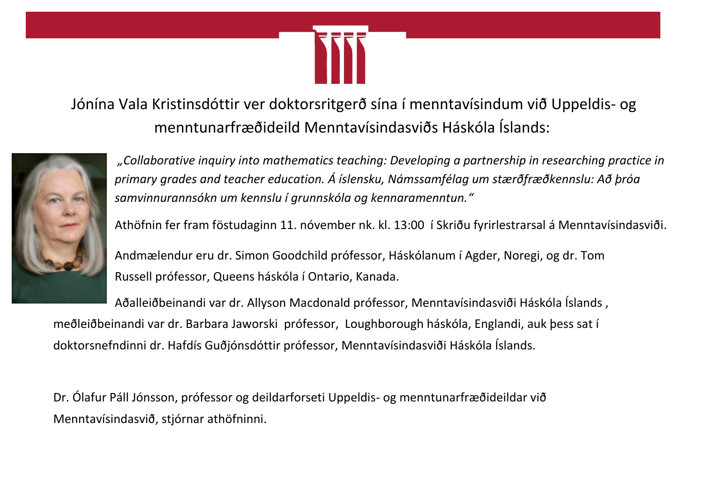

Jónína Vala Kristinsdóttir ver doktorsritgerð sína í menntavísindum við Uppeldis- og menntunarfræðideild Menntavísindasviðs Háskóla Íslands:



*"Collaborative inquiry into mathematics teaching: Developing a partnership in researching practice in primary grades and teacher education. Á íslensku, Námssamfélag um stærðfræðkennslu: Að þróa samvinnurannsókn um kennslu í grunnskóla og kennaramenntun."*

Athöfnin fer fram föstudaginn 11. nóvember nk. kl. 13:00 í Skriðu fyrirlestrarsal á Menntavísindasviði.

Andmælendur eru dr. Simon Goodchild prófessor, Háskólanum í Agder, Noregi, og dr. Tom Russell prófessor, Queens háskóla í Ontario, Kanada.

Aðalleiðbeinandi var dr. Allyson Macdonald prófessor, Menntavísindasviði Háskóla Íslands , meðleiðbeinandi var dr. Barbara Jaworski prófessor, Loughborough háskóla, Englandi, auk þess sat í doktorsnefndinni dr. Hafdís Guðjónsdóttir prófessor, Menntavísindasviði Háskóla Íslands.

Dr. Ólafur Páll Jónsson, prófessor og deildarforseti Uppeldis- og menntunarfræðideildar við Menntavísindasvið, stjórnar athöfninni.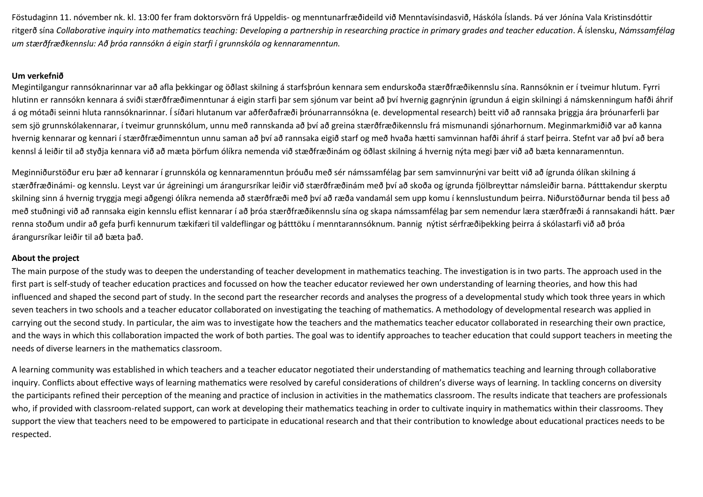Föstudaginn 11. nóvember nk. kl. 13:00 fer fram doktorsvörn frá Uppeldis- og menntunarfræðideild við Menntavísindasvið, Háskóla Íslands. Þá ver Jónína Vala Kristinsdóttir ritgerð sína *Collaborative inquiry into mathematics teaching: Developing a partnership in researching practice in primary grades and teacher education*. Á íslensku, *Námssamfélag um stærðfræðkennslu: Að þróa rannsókn á eigin starfi í grunnskóla og kennaramenntun.*

## **Um verkefnið**

Megintilgangur rannsóknarinnar var að afla þekkingar og öðlast skilning á starfsþróun kennara sem endurskoða stærðfræðikennslu sína. Rannsóknin er í tveimur hlutum. Fyrri hlutinn er rannsókn kennara á sviði stærðfræðimenntunar á eigin starfi þar sem sjónum var beint að því hvernig gagnrýnin ígrundun á eigin skilningi á námskenningum hafði áhrif á og mótaði seinni hluta rannsóknarinnar. Í síðari hlutanum var aðferðafræði þróunarrannsókna (e. developmental research) beitt við að rannsaka þriggja ára þróunarferli þar sem sjö grunnskólakennarar, í tveimur grunnskólum, unnu með rannskanda að því að greina stærðfræðikennslu frá mismunandi sjónarhornum. Meginmarkmiðið var að kanna hvernig kennarar og kennari í stærðfræðimenntun unnu saman að því að rannsaka eigið starf og með hvaða hætti samvinnan hafði áhrif á starf þeirra. Stefnt var að því að bera kennsl á leiðir til að styðja kennara við að mæta þörfum ólíkra nemenda við stæðfræðinám og öðlast skilning á hvernig nýta megi þær við að bæta kennaramenntun.

Meginniðurstöður eru þær að kennarar í grunnskóla og kennaramenntun þróuðu með sér námssamfélag þar sem samvinnurýni var beitt við að ígrunda ólíkan skilning á stærðfræðinámi- og kennslu. Leyst var úr ágreiningi um árangursríkar leiðir við stærðfræðinám með því að skoða og ígrunda fjölbreyttar námsleiðir barna. Þátttakendur skerptu skilning sinn á hvernig tryggja megi aðgengi ólíkra nemenda að stærðfræði með því að ræða vandamál sem upp komu í kennslustundum þeirra. Niðurstöðurnar benda til þess að með stuðningi við að rannsaka eigin kennslu eflist kennarar í að þróa stærðfræðikennslu sína og skapa námssamfélag þar sem nemendur læra stærðfræði á rannsakandi hátt. Þær renna stoðum undir að gefa þurfi kennurum tækifæri til valdeflingar og þátttöku í menntarannsóknum. Þannig nýtist sérfræðiþekking þeirra á skólastarfi við að þróa árangursríkar leiðir til að bæta það.

## **About the project**

The main purpose of the study was to deepen the understanding of teacher development in mathematics teaching. The investigation is in two parts. The approach used in the first part is self-study of teacher education practices and focussed on how the teacher educator reviewed her own understanding of learning theories, and how this had influenced and shaped the second part of study. In the second part the researcher records and analyses the progress of a developmental study which took three years in which seven teachers in two schools and a teacher educator collaborated on investigating the teaching of mathematics. A methodology of developmental research was applied in carrying out the second study. In particular, the aim was to investigate how the teachers and the mathematics teacher educator collaborated in researching their own practice, and the ways in which this collaboration impacted the work of both parties. The goal was to identify approaches to teacher education that could support teachers in meeting the needs of diverse learners in the mathematics classroom.

A learning community was established in which teachers and a teacher educator negotiated their understanding of mathematics teaching and learning through collaborative inquiry. Conflicts about effective ways of learning mathematics were resolved by careful considerations of children's diverse ways of learning. In tackling concerns on diversity the participants refined their perception of the meaning and practice of inclusion in activities in the mathematics classroom. The results indicate that teachers are professionals who, if provided with classroom-related support, can work at developing their mathematics teaching in order to cultivate inquiry in mathematics within their classrooms. They support the view that teachers need to be empowered to participate in educational research and that their contribution to knowledge about educational practices needs to be respected.